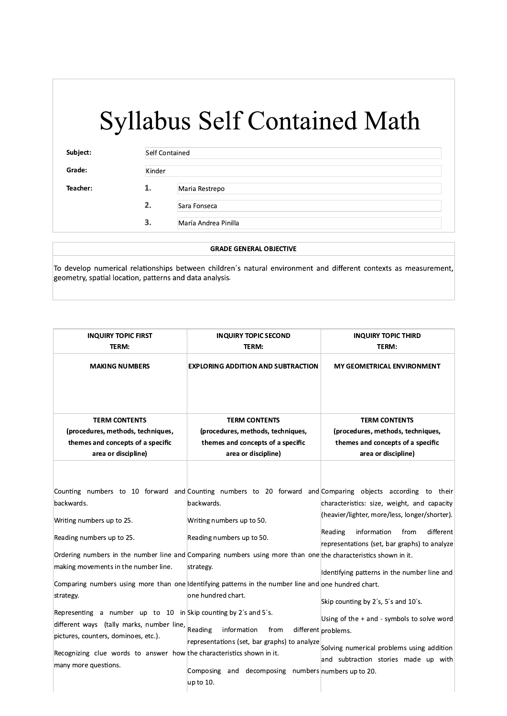| Subject: | Self Contained |                      |
|----------|----------------|----------------------|
| Grade:   | Kinder         |                      |
| Teacher: | 1.             | Maria Restrepo       |
|          | 2.             | Sara Fonseca         |
|          | 3.             | María Andrea Pinilla |

#### **GRADE GENERAL OBJECTIVE**

To develop numerical relationships between children's natural environment and different contexts as measurement, geometry, spatial location, patterns and data analysis.

| <b>INQUIRY TOPIC FIRST</b><br>TERM:                                   | <b>INQUIRY TOPIC SECOND</b><br>TERM:                                                                           | <b>INQUIRY TOPIC THIRD</b><br>TERM:                                                                        |
|-----------------------------------------------------------------------|----------------------------------------------------------------------------------------------------------------|------------------------------------------------------------------------------------------------------------|
| <b>MAKING NUMBERS</b>                                                 | <b>EXPLORING ADDITION AND SUBTRACTION</b>                                                                      | MY GEOMETRICAL ENVIRONMENT                                                                                 |
| <b>TERM CONTENTS</b>                                                  | <b>TERM CONTENTS</b>                                                                                           | <b>TERM CONTENTS</b>                                                                                       |
| (procedures, methods, techniques,                                     | (procedures, methods, techniques,                                                                              | (procedures, methods, techniques,                                                                          |
| themes and concepts of a specific                                     | themes and concepts of a specific                                                                              | themes and concepts of a specific                                                                          |
| area or discipline)                                                   | area or discipline)                                                                                            | area or discipline)                                                                                        |
|                                                                       |                                                                                                                |                                                                                                            |
|                                                                       |                                                                                                                | Counting numbers to 10 forward and Counting numbers to 20 forward and Comparing objects according to their |
| backwards.                                                            | backwards.                                                                                                     | characteristics: size, weight, and capacity                                                                |
| Writing numbers up to 25.                                             | Writing numbers up to 50.                                                                                      | (heavier/lighter, more/less, longer/shorter).                                                              |
| Reading numbers up to 25.                                             | Reading numbers up to 50.                                                                                      | Reading<br>information<br>from<br>different<br>representations (set, bar graphs) to analyze                |
|                                                                       | Ordering numbers in the number line and Comparing numbers using more than one the characteristics shown in it. |                                                                                                            |
| making movements in the number line.                                  | strategy.                                                                                                      | Identifying patterns in the number line and                                                                |
|                                                                       | Comparing numbers using more than one Identifying patterns in the number line and one hundred chart.           |                                                                                                            |
| strategy.                                                             | one hundred chart.                                                                                             | Skip counting by 2's, 5's and 10's.                                                                        |
| Representing a number up to 10 in Skip counting by 2's and 5's.       |                                                                                                                | Using of the + and - symbols to solve word                                                                 |
| different ways (tally marks, number line,                             | Reading<br>information<br>from                                                                                 | different problems.                                                                                        |
| pictures, counters, dominoes, etc.).                                  | representations (set, bar graphs) to analyze                                                                   |                                                                                                            |
| Recognizing clue words to answer how the characteristics shown in it. |                                                                                                                | Solving numerical problems using addition<br>and subtraction stories made up with                          |
| many more questions.                                                  | Composing<br>and decomposing                                                                                   | numbers numbers up to 20.                                                                                  |
|                                                                       | up to 10.                                                                                                      |                                                                                                            |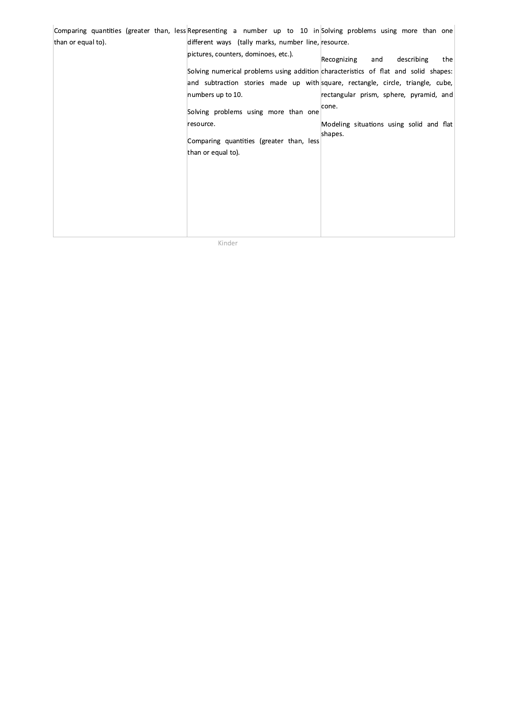|                    |                                                     | Comparing quantities (greater than, less Representing a number up to 10 in Solving problems using more than one |
|--------------------|-----------------------------------------------------|-----------------------------------------------------------------------------------------------------------------|
| than or equal to). | different ways (tally marks, number line, resource. |                                                                                                                 |
|                    | pictures, counters, dominoes, etc.).                | Recognizing<br>describing<br>and<br>the                                                                         |
|                    |                                                     | Solving numerical problems using addition characteristics of flat and solid shapes:                             |
|                    |                                                     | and subtraction stories made up with square, rectangle, circle, triangle, cube,                                 |
|                    | numbers up to 10.                                   | rectangular prism, sphere, pyramid, and                                                                         |
|                    | Solving problems using more than one                | cone.                                                                                                           |
|                    | resource.                                           | Modeling situations using solid and flat                                                                        |
|                    | Comparing quantities (greater than, less            | shapes.                                                                                                         |
|                    | than or equal to).                                  |                                                                                                                 |
|                    |                                                     |                                                                                                                 |
|                    |                                                     |                                                                                                                 |
|                    |                                                     |                                                                                                                 |
|                    |                                                     |                                                                                                                 |
|                    |                                                     |                                                                                                                 |
|                    |                                                     |                                                                                                                 |
|                    |                                                     |                                                                                                                 |

Kinder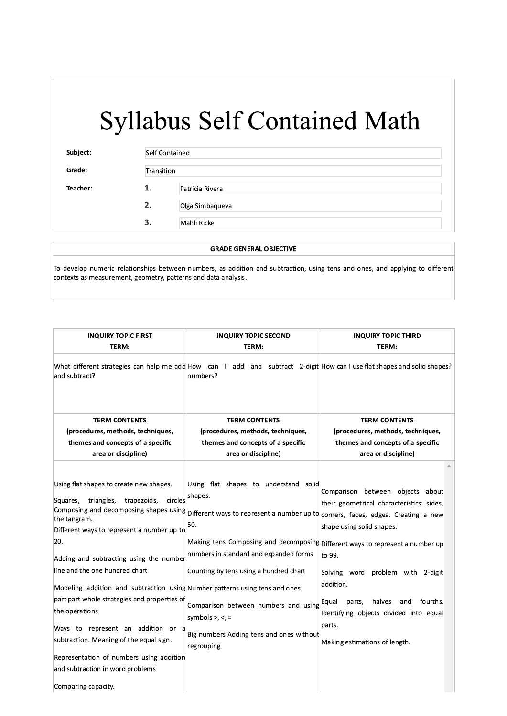| Subject: | <b>Self Contained</b> |                 |
|----------|-----------------------|-----------------|
| Grade:   | Transition            |                 |
| Teacher: | 1.                    | Patricia Rivera |
|          | 2.                    | Olga Simbaqueva |
|          | $\mathbf{3}$          | Mahli Ricke     |

#### **GRADE GENERAL OBJECTIVE**

To develop numeric relationships between numbers, as addition and subtraction, using tens and ones, and applying to different contexts as measurement, geometry, patterns and data analysis.

| <b>INQUIRY TOPIC SECOND</b>                                                                                                                                                                                                                                                                                                                               | <b>INQUIRY TOPIC THIRD</b>                                                                                                                                                                                                                                                                                                                                                                                                                                                                                                                                                                      |  |
|-----------------------------------------------------------------------------------------------------------------------------------------------------------------------------------------------------------------------------------------------------------------------------------------------------------------------------------------------------------|-------------------------------------------------------------------------------------------------------------------------------------------------------------------------------------------------------------------------------------------------------------------------------------------------------------------------------------------------------------------------------------------------------------------------------------------------------------------------------------------------------------------------------------------------------------------------------------------------|--|
| TERM:                                                                                                                                                                                                                                                                                                                                                     | TERM:                                                                                                                                                                                                                                                                                                                                                                                                                                                                                                                                                                                           |  |
| numbers?                                                                                                                                                                                                                                                                                                                                                  |                                                                                                                                                                                                                                                                                                                                                                                                                                                                                                                                                                                                 |  |
| <b>TERM CONTENTS</b>                                                                                                                                                                                                                                                                                                                                      | <b>TERM CONTENTS</b>                                                                                                                                                                                                                                                                                                                                                                                                                                                                                                                                                                            |  |
| (procedures, methods, techniques,                                                                                                                                                                                                                                                                                                                         | (procedures, methods, techniques,                                                                                                                                                                                                                                                                                                                                                                                                                                                                                                                                                               |  |
| themes and concepts of a specific                                                                                                                                                                                                                                                                                                                         | themes and concepts of a specific                                                                                                                                                                                                                                                                                                                                                                                                                                                                                                                                                               |  |
|                                                                                                                                                                                                                                                                                                                                                           | area or discipline)                                                                                                                                                                                                                                                                                                                                                                                                                                                                                                                                                                             |  |
| Using flat shapes to understand solid<br>shapes.<br>50.<br>Making tens Composing and decomposing Different ways to represent a number up<br>numbers in standard and expanded forms<br>Counting by tens using a hundred chart<br>Comparison between numbers and using<br>symbols $>$ , $<$ , $=$<br>Big numbers Adding tens and ones without<br>regrouping | Comparison between objects about<br>their geometrical characteristics: sides,<br>shape using solid shapes.<br>to 99.<br>Solving word problem with 2-digit<br>addition.<br>halves<br>fourths.<br>Equal<br>parts,<br>and<br>Identifying objects divided into equal<br>parts.<br>Making estimations of length.                                                                                                                                                                                                                                                                                     |  |
|                                                                                                                                                                                                                                                                                                                                                           | What different strategies can help me add How can I add and subtract 2-digit How can I use flat shapes and solid shapes?<br>area or discipline)<br>circles<br>Composing and decomposing shapes using Different ways to represent a number up to corners, faces, edges. Creating a new<br>Different ways to represent a number up to<br>Adding and subtracting using the number<br>Modeling addition and subtraction using Number patterns using tens and ones<br>part part whole strategies and properties of<br>Ways to represent an addition or a<br>Representation of numbers using addition |  |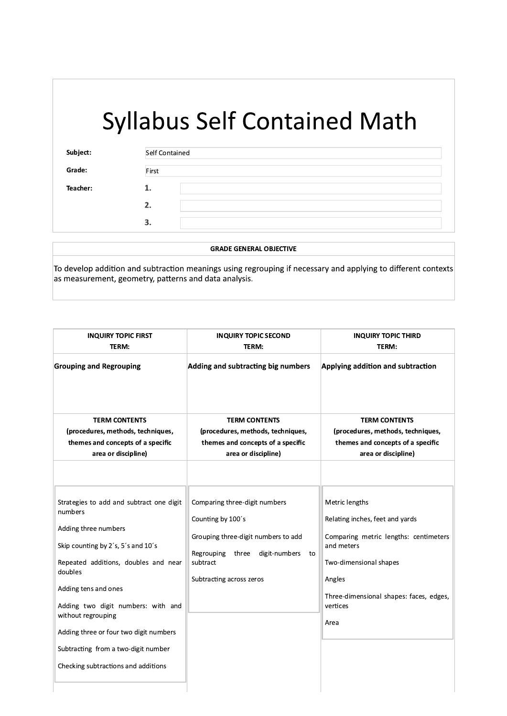| Subject: | Self Contained |  |
|----------|----------------|--|
| Grade:   | First          |  |
| Teacher: | . .            |  |
|          | 2.             |  |
|          | 3.             |  |

**GRADE GENERAL OBJECTIVE** 

To develop addition and subtraction meanings using regrouping if necessary and applying to different contexts as measurement, geometry, patterns and data analysis.

| <b>INQUIRY TOPIC FIRST</b>                                                                                                                                                                                                                                                                                                                                                       | <b>INQUIRY TOPIC SECOND</b>                                                                                                                                                     | <b>INQUIRY TOPIC THIRD</b>                                                                                                                                                                                  |
|----------------------------------------------------------------------------------------------------------------------------------------------------------------------------------------------------------------------------------------------------------------------------------------------------------------------------------------------------------------------------------|---------------------------------------------------------------------------------------------------------------------------------------------------------------------------------|-------------------------------------------------------------------------------------------------------------------------------------------------------------------------------------------------------------|
| TERM:                                                                                                                                                                                                                                                                                                                                                                            | TERM:                                                                                                                                                                           | TERM:                                                                                                                                                                                                       |
| <b>Grouping and Regrouping</b>                                                                                                                                                                                                                                                                                                                                                   | Adding and subtracting big numbers                                                                                                                                              | Applying addition and subtraction                                                                                                                                                                           |
| <b>TERM CONTENTS</b><br>(procedures, methods, techniques,                                                                                                                                                                                                                                                                                                                        | <b>TERM CONTENTS</b><br>(procedures, methods, techniques,                                                                                                                       | <b>TERM CONTENTS</b><br>(procedures, methods, techniques,                                                                                                                                                   |
| themes and concepts of a specific<br>area or discipline)                                                                                                                                                                                                                                                                                                                         | themes and concepts of a specific<br>area or discipline)                                                                                                                        | themes and concepts of a specific<br>area or discipline)                                                                                                                                                    |
| Strategies to add and subtract one digit<br>numbers<br>Adding three numbers<br>Skip counting by 2's, 5's and 10's<br>Repeated additions, doubles and near<br>doubles<br>Adding tens and ones<br>Adding two digit numbers: with and<br>without regrouping<br>Adding three or four two digit numbers<br>Subtracting from a two-digit number<br>Checking subtractions and additions | Comparing three-digit numbers<br>Counting by 100's<br>Grouping three-digit numbers to add<br>Regrouping<br>three<br>digit-numbers<br>to<br>subtract<br>Subtracting across zeros | Metric lengths<br>Relating inches, feet and yards<br>Comparing metric lengths: centimeters<br>and meters<br>Two-dimensional shapes<br>Angles<br>Three-dimensional shapes: faces, edges,<br>vertices<br>Area |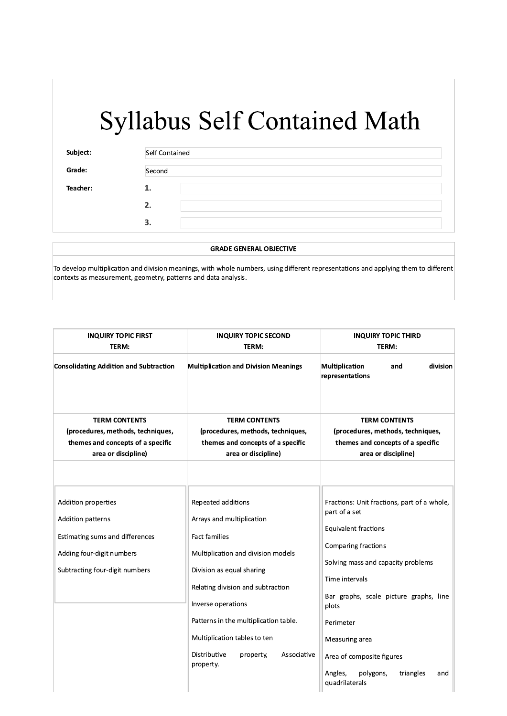| Subject: | Self Contained<br>Second |  |
|----------|--------------------------|--|
| Grade:   |                          |  |
| Teacher: | ı.                       |  |
|          | 2.                       |  |
|          | З.                       |  |

#### **GRADE GENERAL OBJECTIVE**

To develop multiplication and division meanings, with whole numbers, using different representations and applying them to different contexts as measurement, geometry, patterns and data analysis.

| <b>INQUIRY TOPIC FIRST</b>                                                                                                                        | <b>INQUIRY TOPIC SECOND</b>                                                                                                                                                                                                                                                                                                             | <b>INQUIRY TOPIC THIRD</b>                                                                                                                                                                                                                                                                                                                              |
|---------------------------------------------------------------------------------------------------------------------------------------------------|-----------------------------------------------------------------------------------------------------------------------------------------------------------------------------------------------------------------------------------------------------------------------------------------------------------------------------------------|---------------------------------------------------------------------------------------------------------------------------------------------------------------------------------------------------------------------------------------------------------------------------------------------------------------------------------------------------------|
| TERM:                                                                                                                                             | TERM:                                                                                                                                                                                                                                                                                                                                   | TERM:                                                                                                                                                                                                                                                                                                                                                   |
| <b>Consolidating Addition and Subtraction</b>                                                                                                     | <b>Multiplication and Division Meanings</b>                                                                                                                                                                                                                                                                                             | Multiplication<br>division<br>and<br>representations                                                                                                                                                                                                                                                                                                    |
| <b>TERM CONTENTS</b>                                                                                                                              | <b>TERM CONTENTS</b>                                                                                                                                                                                                                                                                                                                    | <b>TERM CONTENTS</b>                                                                                                                                                                                                                                                                                                                                    |
| (procedures, methods, techniques,                                                                                                                 | (procedures, methods, techniques,                                                                                                                                                                                                                                                                                                       | (procedures, methods, techniques,                                                                                                                                                                                                                                                                                                                       |
| themes and concepts of a specific                                                                                                                 | themes and concepts of a specific                                                                                                                                                                                                                                                                                                       | themes and concepts of a specific                                                                                                                                                                                                                                                                                                                       |
| area or discipline)                                                                                                                               | area or discipline)                                                                                                                                                                                                                                                                                                                     | area or discipline)                                                                                                                                                                                                                                                                                                                                     |
| Addition properties<br><b>Addition patterns</b><br>Estimating sums and differences<br>Adding four-digit numbers<br>Subtracting four-digit numbers | Repeated additions<br>Arrays and multiplication<br><b>Fact families</b><br>Multiplication and division models<br>Division as equal sharing<br>Relating division and subtraction<br>Inverse operations<br>Patterns in the multiplication table.<br>Multiplication tables to ten<br>Distributive<br>property,<br>Associative<br>property. | Fractions: Unit fractions, part of a whole,<br>part of a set<br><b>Equivalent fractions</b><br>Comparing fractions<br>Solving mass and capacity problems<br>Time intervals<br>Bar graphs, scale picture graphs, line<br>plots<br>Perimeter<br>Measuring area<br>Area of composite figures<br>Angles,<br>polygons,<br>triangles<br>and<br>quadrilaterals |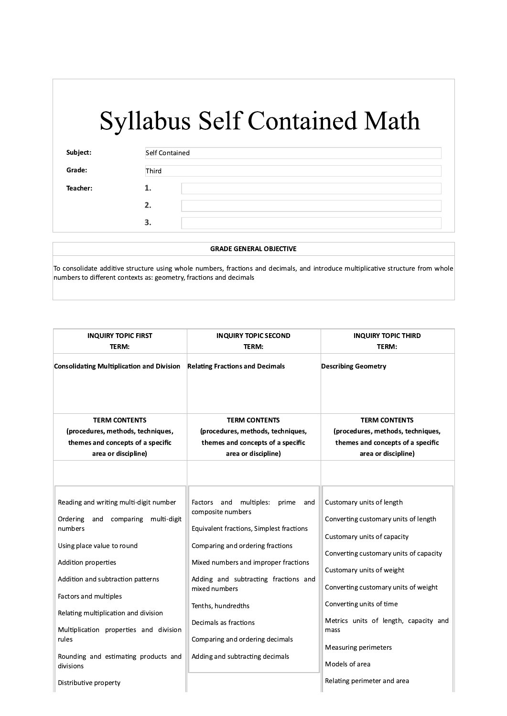| Subject: | Self Contained<br>Third |  |
|----------|-------------------------|--|
| Grade:   |                         |  |
| Teacher: | ı.                      |  |
|          | 2.                      |  |
|          | З.                      |  |

#### **GRADE GENERAL OBJECTIVE**

To consolidate additive structure using whole numbers, fractions and decimals, and introduce multiplicative structure from whole numbers to different contexts as: geometry, fractions and decimals

| <b>INQUIRY TOPIC FIRST</b><br>TERM:                                                                                                                                                                                                                                                                                                                                 | <b>INQUIRY TOPIC SECOND</b><br>TERM:                                                                                                                                                                                                                                                                                                                                    | <b>INQUIRY TOPIC THIRD</b><br>TERM:                                                                                                                                                                                                                                                                                                           |
|---------------------------------------------------------------------------------------------------------------------------------------------------------------------------------------------------------------------------------------------------------------------------------------------------------------------------------------------------------------------|-------------------------------------------------------------------------------------------------------------------------------------------------------------------------------------------------------------------------------------------------------------------------------------------------------------------------------------------------------------------------|-----------------------------------------------------------------------------------------------------------------------------------------------------------------------------------------------------------------------------------------------------------------------------------------------------------------------------------------------|
| <b>Consolidating Multiplication and Division</b>                                                                                                                                                                                                                                                                                                                    | <b>Relating Fractions and Decimals</b>                                                                                                                                                                                                                                                                                                                                  | <b>Describing Geometry</b>                                                                                                                                                                                                                                                                                                                    |
| <b>TERM CONTENTS</b><br>(procedures, methods, techniques,<br>themes and concepts of a specific<br>area or discipline)                                                                                                                                                                                                                                               | <b>TERM CONTENTS</b><br>(procedures, methods, techniques,<br>themes and concepts of a specific<br>area or discipline)                                                                                                                                                                                                                                                   | <b>TERM CONTENTS</b><br>(procedures, methods, techniques,<br>themes and concepts of a specific<br>area or discipline)                                                                                                                                                                                                                         |
| Reading and writing multi-digit number<br>Ordering<br>and<br>comparing<br>multi-digit<br>numbers<br>Using place value to round<br>Addition properties<br>Addition and subtraction patterns<br>Factors and multiples<br>Relating multiplication and division<br>Multiplication properties and division<br>rules<br>Rounding and estimating products and<br>divisions | multiples:<br>Factors<br>and<br>prime<br>and<br>composite numbers<br>Equivalent fractions, Simplest fractions<br>Comparing and ordering fractions<br>Mixed numbers and improper fractions<br>Adding and subtracting fractions and<br>mixed numbers<br>Tenths, hundredths<br>Decimals as fractions<br>Comparing and ordering decimals<br>Adding and subtracting decimals | Customary units of length<br>Converting customary units of length<br>Customary units of capacity<br>Converting customary units of capacity<br>Customary units of weight<br>Converting customary units of weight<br>Converting units of time<br>Metrics units of length, capacity and<br>mass<br><b>Measuring perimeters</b><br>Models of area |
| Distributive property                                                                                                                                                                                                                                                                                                                                               |                                                                                                                                                                                                                                                                                                                                                                         | Relating perimeter and area                                                                                                                                                                                                                                                                                                                   |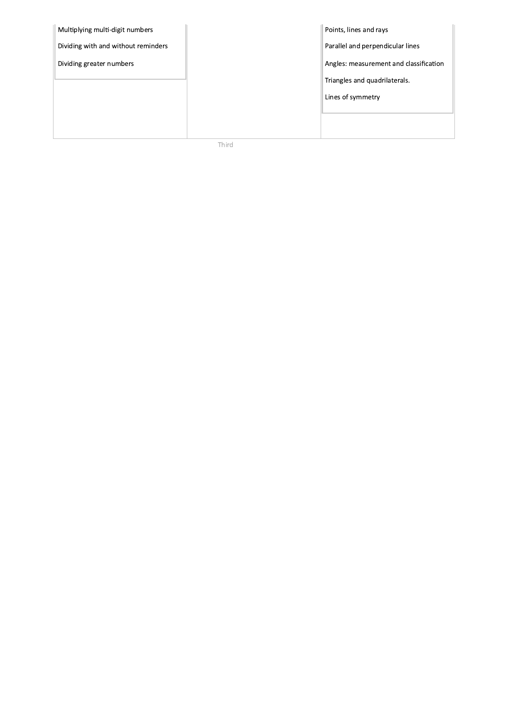| Multiplying multi-digit numbers     |  | Points, lines and rays                 |
|-------------------------------------|--|----------------------------------------|
| Dividing with and without reminders |  | Parallel and perpendicular lines       |
| Dividing greater numbers            |  | Angles: measurement and classification |
|                                     |  | Triangles and quadrilaterals.          |
|                                     |  | Lines of symmetry                      |
|                                     |  |                                        |
|                                     |  |                                        |

Third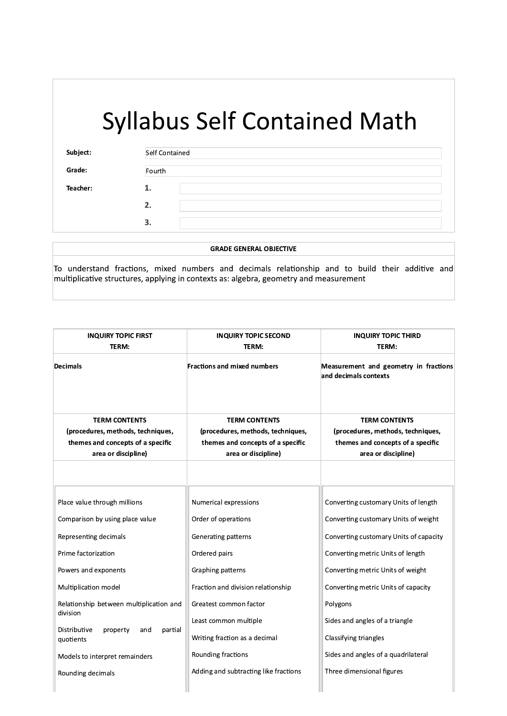| Subject: | Self Contained |  |  |
|----------|----------------|--|--|
| Grade:   | Fourth         |  |  |
| Teacher: | 1.             |  |  |
|          | 2.             |  |  |
|          | З.             |  |  |

**GRADE GENERAL OBJECTIVE** 

To understand fractions, mixed numbers and decimals relationship and to build their additive and multiplicative structures, applying in contexts as: algebra, geometry and measurement

| <b>INQUIRY TOPIC FIRST</b>                                                                                                                                                                                                                                                                                                               | <b>INQUIRY TOPIC SECOND</b>                                                                                                                                                                                                                                                                        | <b>INQUIRY TOPIC THIRD</b>                                                                                                                                                                                                                                                                                                                                                         |
|------------------------------------------------------------------------------------------------------------------------------------------------------------------------------------------------------------------------------------------------------------------------------------------------------------------------------------------|----------------------------------------------------------------------------------------------------------------------------------------------------------------------------------------------------------------------------------------------------------------------------------------------------|------------------------------------------------------------------------------------------------------------------------------------------------------------------------------------------------------------------------------------------------------------------------------------------------------------------------------------------------------------------------------------|
| TERM:                                                                                                                                                                                                                                                                                                                                    | TERM:                                                                                                                                                                                                                                                                                              | TERM:                                                                                                                                                                                                                                                                                                                                                                              |
| <b>Decimals</b>                                                                                                                                                                                                                                                                                                                          | <b>Fractions and mixed numbers</b>                                                                                                                                                                                                                                                                 | Measurement and geometry in fractions<br>and decimals contexts                                                                                                                                                                                                                                                                                                                     |
| <b>TERM CONTENTS</b>                                                                                                                                                                                                                                                                                                                     | <b>TERM CONTENTS</b>                                                                                                                                                                                                                                                                               | <b>TERM CONTENTS</b>                                                                                                                                                                                                                                                                                                                                                               |
| (procedures, methods, techniques,                                                                                                                                                                                                                                                                                                        | (procedures, methods, techniques,                                                                                                                                                                                                                                                                  | (procedures, methods, techniques,                                                                                                                                                                                                                                                                                                                                                  |
| themes and concepts of a specific                                                                                                                                                                                                                                                                                                        | themes and concepts of a specific                                                                                                                                                                                                                                                                  | themes and concepts of a specific                                                                                                                                                                                                                                                                                                                                                  |
| area or discipline)                                                                                                                                                                                                                                                                                                                      | area or discipline)                                                                                                                                                                                                                                                                                | area or discipline)                                                                                                                                                                                                                                                                                                                                                                |
| Place value through millions<br>Comparison by using place value<br>Representing decimals<br>Prime factorization<br>Powers and exponents<br>Multiplication model<br>Relationship between multiplication and<br>division<br>Distributive<br>partial<br>property<br>and<br>quotients<br>Models to interpret remainders<br>Rounding decimals | Numerical expressions<br>Order of operations<br>Generating patterns<br>Ordered pairs<br>Graphing patterns<br>Fraction and division relationship<br>Greatest common factor<br>Least common multiple<br>Writing fraction as a decimal<br>Rounding fractions<br>Adding and subtracting like fractions | Converting customary Units of length<br>Converting customary Units of weight<br>Converting customary Units of capacity<br>Converting metric Units of length<br>Converting metric Units of weight<br>Converting metric Units of capacity<br>Polygons<br>Sides and angles of a triangle<br>Classifying triangles<br>Sides and angles of a quadrilateral<br>Three dimensional figures |